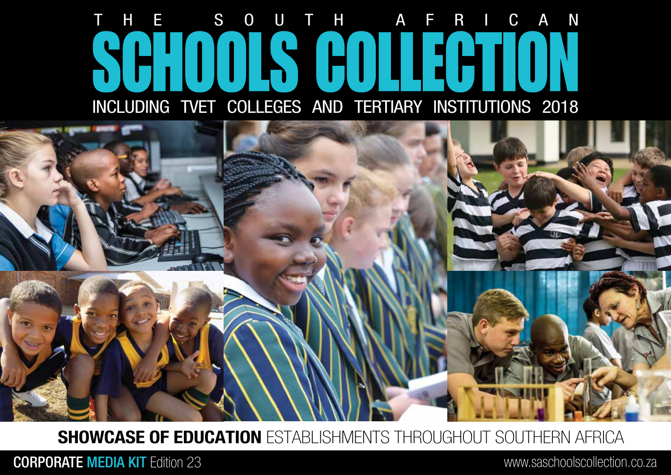## HE SOUTH AFRICAN SCHOOLS COLLECTION INCLUDING TVET COLLEGES AND TERTIARY INSTITUTIONS 2018



SHOWCASE OF EDUCATION ESTABLISHMENTS THROUGHOUT SOUTHERN AFRICA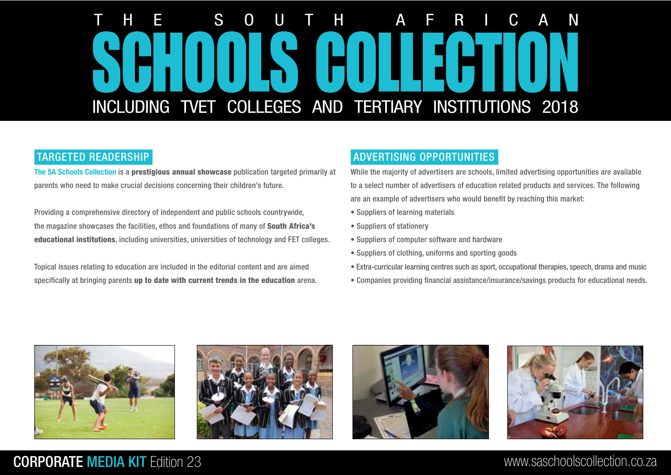# INCLUDING TVET COLLEGES AND TERTIARY INSTITUTIONS 2018 THE SOUTH AFRICAN

## TARGETED READERSHIP

The SA Schools Collection is a prestigious annual showcase publication targeted primarily at parents who need to make crucial decisions concerning their children's future.

Providing a comprehensive directory of independent and public schools countrywide, the magazine showcases the facilities, ethos and foundations of many of South Africa's educational institutions, including universities, universities of technology and FET colleges.

Topical issues relating to education are included in the editorial content and are aimed specifically at bringing parents up to date with current trends in the education arena.

## ADVERTISING OPPORTUNITIES

While the majority of advertisers are schools, limited advertising opportunities are available to a select number of advertisers of education related products and services. The following are an example of advertisers who would benefit by reaching this market:

- Suppliers of learning materials
- Suppliers of stationery
- Suppliers of computer software and hardware
- Suppliers of clothing, uniforms and sporting goods
- Extra-curricular learning centres such as sport, occupational therapies, speech, drama and music
- Companies providing financial assistance/insurance/savings products for educational needs.







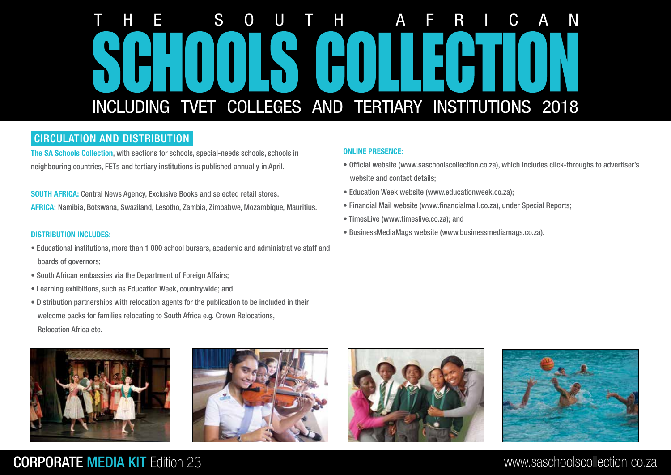# INCLUDING TVET COLLEGES AND TERTIARY INSTITUTIONS 2018 THE SOUTH AFRICAN

## CIRCULATION AND DISTRIBUTION

The SA Schools Collection, with sections for schools, special-needs schools, schools in neighbouring countries, FETs and tertiary institutions is published annually in April.

SOUTH AFRICA: Central News Agency, Exclusive Books and selected retail stores. AFRICA: Namibia, Botswana, Swaziland, Lesotho, Zambia, Zimbabwe, Mozambique, Mauritius.

### DISTRIBUTION INCLUDES:

- Educational institutions, more than 1 000 school bursars, academic and administrative staff and boards of governors;
- South African embassies via the Department of Foreign Affairs;
- Learning exhibitions, such as Education Week, countrywide; and
- Distribution partnerships with relocation agents for the publication to be included in their welcome packs for families relocating to South Africa e.g. Crown Relocations, Relocation Africa etc.







### ONLINE PRESENCE:

- Official website (www.saschoolscollection.co.za), which includes click-throughs to advertiser's website and contact details;
- Education Week website (www.educationweek.co.za);
- Financial Mail website (www.financialmail.co.za), under Special Reports;
- TimesLive (www.timeslive.co.za); and
- BusinessMediaMags website (www.businessmediamags.co.za).